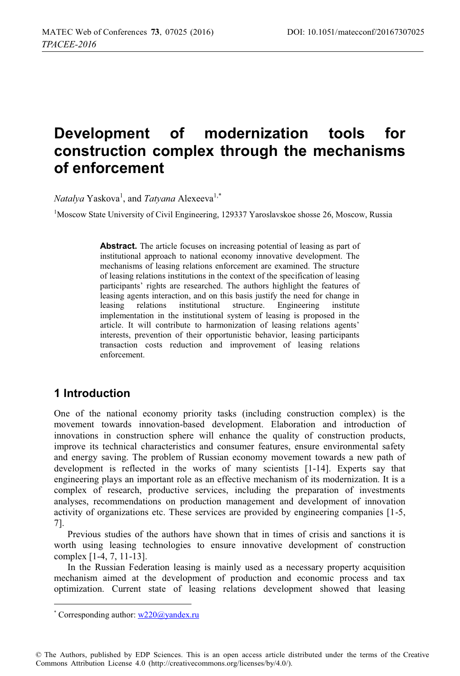# **Development of modernization tools for construction complex through the mechanisms of enforcement**

*Natalya* Yaskova<sup>1</sup>, and *Tatyana* Alexeeva<sup>1,\*</sup>

<sup>1</sup>Moscow State University of Civil Engineering, 129337 Yaroslavskoe shosse 26, Moscow, Russia

**Abstract.** The article focuses on increasing potential of leasing as part of institutional approach to national economy innovative development. The mechanisms of leasing relations enforcement are examined. The structure of leasing relations institutions in the context of the specification of leasing participants' rights are researched. The authors highlight the features of leasing agents interaction, and on this basis justify the need for change in leasing relations institutional structure. Engineering institute implementation in the institutional system of leasing is proposed in the article. It will contribute to harmonization of leasing relations agents' interests, prevention of their opportunistic behavior, leasing participants transaction costs reduction and improvement of leasing relations enforcement.

## **1 Introduction**

One of the national economy priority tasks (including construction complex) is the movement towards innovation-based development. Elaboration and introduction of innovations in construction sphere will enhance the quality of construction products, improve its technical characteristics and consumer features, ensure environmental safety and energy saving. The problem of Russian economy movement towards a new path of development is reflected in the works of many scientists [1-14]. Experts say that engineering plays an important role as an effective mechanism of its modernization. It is a complex of research, productive services, including the preparation of investments analyses, recommendations on production management and development of innovation activity of organizations etc. These services are provided by engineering companies [1-5, 7].

Previous studies of the authors have shown that in times of crisis and sanctions it is worth using leasing technologies to ensure innovative development of construction complex [1-4, 7, 11-13].

In the Russian Federation leasing is mainly used as a necessary property acquisition mechanism aimed at the development of production and economic process and tax optimization. Current state of leasing relations development showed that leasing

 $\overline{a}$ 

© The Authors, published by EDP Sciences. This is an open access article distributed under the terms of the Creative Commons Attribution License 4.0 (http://creativecommons.org/licenses/by/4.0/).

<sup>\*</sup> Corresponding author:  $w220@y$ andex.ru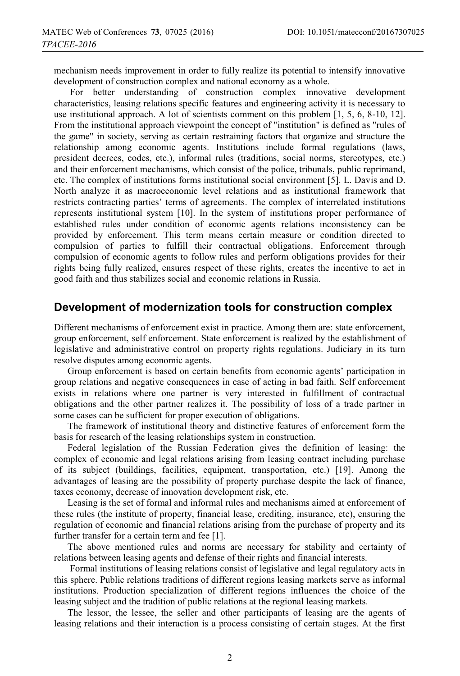mechanism needs improvement in order to fully realize its potential to intensify innovative development of construction complex and national economy as a whole.

 For better understanding of construction complex innovative development characteristics, leasing relations specific features and engineering activity it is necessary to use institutional approach. A lot of scientists comment on this problem [1, 5, 6, 8-10, 12]. From the institutional approach viewpoint the concept of "institution" is defined as "rules of the game" in society, serving as certain restraining factors that organize and structure the relationship among economic agents. Institutions include formal regulations (laws, president decrees, codes, etc.), informal rules (traditions, social norms, stereotypes, etc.) and their enforcement mechanisms, which consist of the police, tribunals, public reprimand, etc. The complex of institutions forms institutional social environment [5]. L. Dаvis and D. Nоrth analyze it as macroeconomic level relations and as institutional framework that restricts contracting parties' terms of agreements. The complex of interrelated institutions represents institutional system [10]. In the system of institutions proper performance of established rules under condition of economic agents relations inconsistency can be provided by enforcement. This term means certain measure or condition directed to compulsion of parties to fulfill their contractual obligations. Enforcement through compulsion of economic agents to follow rules and perform obligations provides for their rights being fully realized, ensures respect of these rights, creates the incentive to act in good faith and thus stabilizes social and economic relations in Russia.

#### **Development of modernization tools for construction complex**

Different mechanisms of enforcement exist in practice. Among them are: state enforcement, group enforcement, self enforcement. State enforcement is realized by the establishment of legislative and administrative control on property rights regulations. Judiciary in its turn resolve disputes among economic agents.

Group enforcement is based on certain benefits from economic agents' participation in group relations and negative consequences in case of acting in bad faith. Self enforcement exists in relations where one partner is very interested in fulfillment of contractual obligations and the other partner realizes it. The possibility of loss of a trade partner in some cases can be sufficient for proper execution of obligations.

The framework of institutional theory and distinctive features of enforcement form the basis for research of the leasing relationships system in construction.

Federal legislation of the Russian Federation gives the definition of leasing: the complex of economic and legal relations arising from leasing contract including purchase of its subject (buildings, facilities, equipment, transportation, etc.) [19]. Among the advantages of leasing are the possibility of property purchase despite the lack of finance, taxes economy, decrease of innovation development risk, etc.

Leasing is the set of formal and informal rules and mechanisms aimed at enforcement of these rules (the institute of property, financial lease, crediting, insurance, etc), ensuring the regulation of economic and financial relations arising from the purchase of property and its further transfer for a certain term and fee [1].

The above mentioned rules and norms are necessary for stability and certainty of relations between leasing agents and defense of their rights and financial interests.

 Formal institutions of leasing relations consist of legislative and legal regulatory acts in this sphere. Public relations traditions of different regions leasing markets serve as informal institutions. Production specialization of different regions influences the choice of the leasing subject and the tradition of public relations at the regional leasing markets.

The lessor, the lessee, the seller and other participants of leasing are the agents of leasing relations and their interaction is a process consisting of certain stages. At the first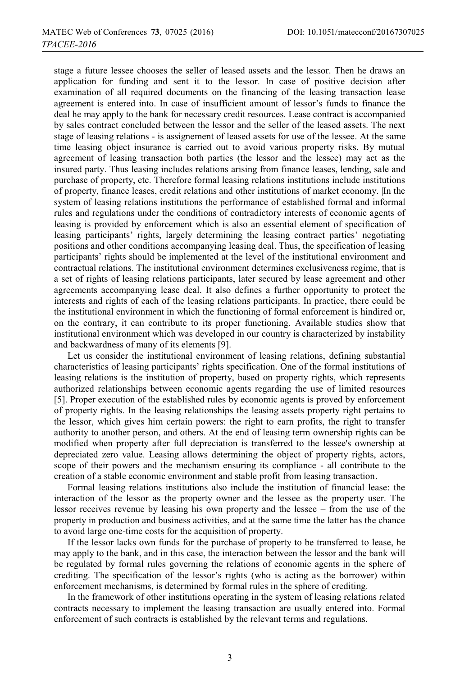stage a future lessee chooses the seller of leased assets and the lessor. Then he draws an application for funding and sent it to the lessor. In case of positive decision after examination of all required documents on the financing of the leasing transaction lease agreement is entered into. In case of insufficient amount of lessor's funds to finance the deal he may apply to the bank for necessary credit resources. Lease contract is accompanied by sales contract concluded between the lessor and the seller of the leased assets. The next stage of leasing relations - is assignement of leased assets for use of the lessee. At the same time leasing object insurance is carried out to avoid various property risks. By mutual agreement of leasing transaction both parties (the lessor and the lessee) may act as the insured party. Thus leasing includes relations arising from finance leases, lending, sale and purchase of property, etc. Therefore formal leasing relations institutions include institutions of property, finance leases, credit relations and other institutions of market economy. |In the system of leasing relations institutions the performance of established formal and informal rules and regulations under the conditions of contradictory interests of economic agents of leasing is provided by enforcement which is also an essential element of specification of leasing participants' rights, largely determining the leasing contract parties' negotiating positions and other conditions accompanying leasing deal. Thus, the specification of leasing participants' rights should be implemented at the level of the institutional environment and contractual relations. The institutional environment determines exclusiveness regime, that is a set of rights of leasing relations participants, later secured by lease agreement and other agreements accompanying lease deal. It also defines a further opportunity to protect the interests and rights of each of the leasing relations participants. In practice, there could be the institutional environment in which the functioning of formal enforcement is hindired or, on the contrary, it can contribute to its proper functioning. Available studies show that institutional environment which was developed in our country is characterized by instability and backwardness of many of its elements [9].

Let us consider the institutional environment of leasing relations, defining substantial characteristics of leasing participants' rights specification. One of the formal institutions of leasing relations is the institution of property, based on property rights, which represents authorized relationships between economic agents regarding the use of limited resources [5]. Proper execution of the established rules by economic agents is proved by enforcement of property rights. In the leasing relationships the leasing assets property right pertains to the lessor, which gives him certain powers: the right to earn profits, the right to transfer authority to another person, and others. At the end of leasing term ownership rights can be modified when property after full depreciation is transferred to the lessee's ownership at depreciated zero value. Leasing allows determining the object of property rights, actors, scope of their powers and the mechanism ensuring its compliance - all contribute to the creation of a stable economic environment and stable profit from leasing transaction.

Formal leasing relations institutions also include the institution of financial lease: the interaction of the lessor as the property owner and the lessee as the property user. The lessor receives revenue by leasing his own property and the lessee – from the use of the property in production and business activities, and at the same time the latter has the chance to avoid large one-time costs for the acquisition of property.

If the lessor lacks own funds for the purchase of property to be transferred to lease, he may apply to the bank, and in this case, the interaction between the lessor and the bank will be regulated by formal rules governing the relations of economic agents in the sphere of crediting. The specification of the lessor's rights (who is acting as the borrower) within enforcement mechanisms, is determined by formal rules in the sphere of crediting.

In the framework of other institutions operating in the system of leasing relations related contracts necessary to implement the leasing transaction are usually entered into. Formal enforcement of such contracts is established by the relevant terms and regulations.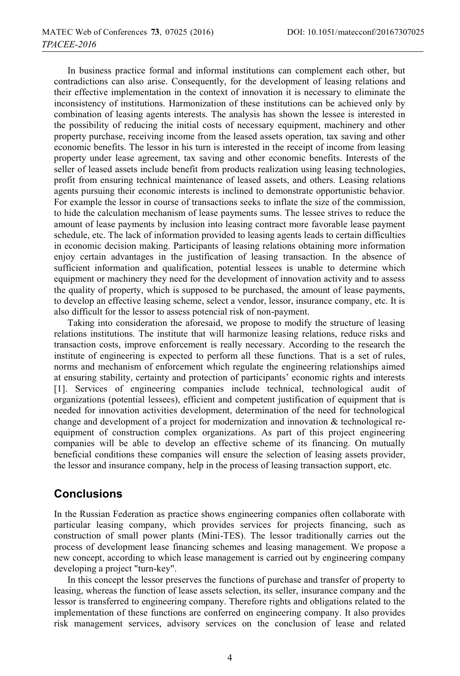In business practice formal and informal institutions can complement each other, but contradictions can also arise. Consequently, for the development of leasing relations and their effective implementation in the context of innovation it is necessary to eliminate the inconsistency of institutions. Harmonization of these institutions can be achieved only by combination of leasing agents interests. The analysis has shown the lessee is interested in the possibility of reducing the initial costs of necessary equipment, machinery and other property purchase, receiving income from the leased assets operation, tax saving and other economic benefits. The lessor in his turn is interested in the receipt of income from leasing property under lease agreement, tax saving and other economic benefits. Interests of the seller of leased assets include benefit from products realization using leasing technologies, profit from ensuring technical maintenance of leased assets, and others. Leasing relations agents pursuing their economic interests is inclined to demonstrate opportunistic behavior. For example the lessor in course of transactions seeks to inflate the size of the commission, to hide the calculation mechanism of lease payments sums. The lessee strives to reduce the amount of lease payments by inclusion into leasing contract more favorable lease payment schedule, etc. The lack of information provided to leasing agents leads to certain difficulties in economic decision making. Participants of leasing relations obtaining more information enjoy certain advantages in the justification of leasing transaction. In the absence of sufficient information and qualification, potential lessees is unable to determine which equipment or machinery they need for the development of innovation activity and to assess the quality of property, which is supposed to be purchased, the amount of lease payments, to develop an effective leasing scheme, select a vendor, lessor, insurance company, etc. It is also difficult for the lessor to assess potencial risk of non-payment.

Taking into consideration the aforesaid, we propose to modify the structure of leasing relations institutions. The institute that will harmonize leasing relations, reduce risks and transaction costs, improve enforcement is really necessary. According to the research the institute of engineering is expected to perform all these functions. That is a set of rules, norms and mechanism of enforcement which regulate the engineering relationships aimed at ensuring stability, certainty and protection of participants' economic rights and interests [1]. Services of engineering companies include technical, technological audit of organizations (potential lessees), efficient and competent justification of equipment that is needed for innovation activities development, determination of the need for technological change and development of a project for modernization and innovation & technological reequipment of construction complex organizations. As part of this project engineering companies will be able to develop an effective scheme of its financing. On mutually beneficial conditions these companies will ensure the selection of leasing assets provider, the lessor and insurance company, help in the process of leasing transaction support, etc.

## **Conclusions**

In the Russian Federation as practice shows engineering companies often collaborate with particular leasing company, which provides services for projects financing, such as construction of small power plants (Mini-TES). The lessor traditionally carries out the process of development lease financing schemes and leasing management. We propose a new concept, according to which lease management is carried out by engineering company developing a project "turn-key".

In this concept the lessor preserves the functions of purchase and transfer of property to leasing, whereas the function of lease assets selection, its seller, insurance company and the lessor is transferred to engineering company. Therefore rights and obligations related to the implementation of these functions are conferred on engineering company. It also provides risk management services, advisory services on the conclusion of lease and related